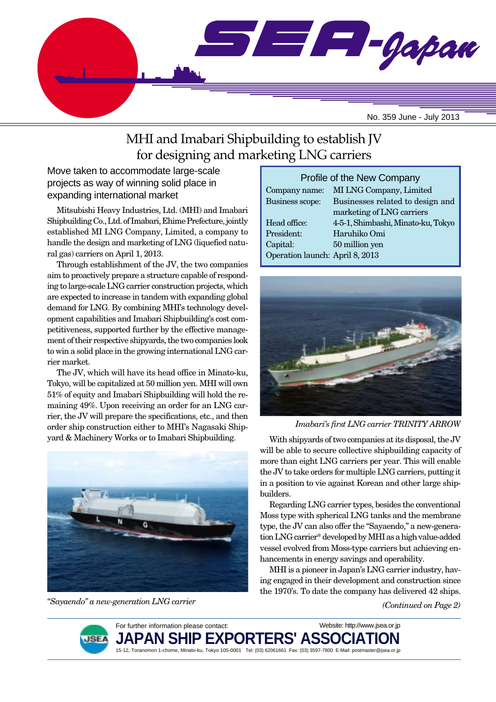

# MHI and Imabari Shipbuilding to establish JV for designing and marketing LNG carriers

Move taken to accommodate large-scale projects as way of winning solid place in expanding international market

Mitsubishi Heavy Industries, Ltd. (MHI) and Imabari Shipbuilding Co., Ltd. of Imabari, Ehime Prefecture, jointly established MI LNG Company, Limited, a company to handle the design and marketing of LNG (liquefied natural gas) carriers on April 1, 2013.

Through establishment of the JV, the two companies aim to proactively prepare a structure capable of responding to large-scale LNG carrier construction projects, which are expected to increase in tandem with expanding global demand for LNG. By combining MHI's technology development capabilities and Imabari Shipbuilding's cost competitiveness, supported further by the effective management of their respective shipyards, the two companies look to win a solid place in the growing international LNG carrier market.

The JV, which will have its head office in Minato-ku, Tokyo, will be capitalized at 50 million yen. MHI will own 51% of equity and Imabari Shipbuilding will hold the remaining 49%. Upon receiving an order for an LNG carrier, the JV will prepare the specifications, etc., and then order ship construction either to MHI's Nagasaki Ship-



*"Sayaendo" a new-generation LNG carrier*

| Profile of the New Company      |                                    |  |  |  |
|---------------------------------|------------------------------------|--|--|--|
| Company name:                   | MI LNG Company, Limited            |  |  |  |
| Business scope:                 | Businesses related to design and   |  |  |  |
|                                 | marketing of LNG carriers          |  |  |  |
| Head office:                    | 4-5-1, Shimbashi, Minato-ku, Tokyo |  |  |  |
| President:                      | Haruhiko Omi                       |  |  |  |
| Capital:                        | 50 million yen                     |  |  |  |
| Operation launch: April 8, 2013 |                                    |  |  |  |



*Imabari's first LNG carrier TRINITY ARROW*

yard & Machinery Works or to Imabari Shipbuilding. With shipyards of two companies at its disposal, the JV will be able to secure collective shipbuilding capacity of more than eight LNG carriers per year. This will enable the JV to take orders for multiple LNG carriers, putting it in a position to vie against Korean and other large shipbuilders.

> Regarding LNG carrier types, besides the conventional Moss type with spherical LNG tanks and the membrane type, the JV can also offer the "Sayaendo," a new-generation LNG carrier\* developed by MHI as a high value-added vessel evolved from Moss-type carriers but achieving enhancements in energy savings and operability.

> MHI is a pioneer in Japan's LNG carrier industry, having engaged in their development and construction since the 1970's. To date the company has delivered 42 ships.

> > *(Continued on Page 2)*

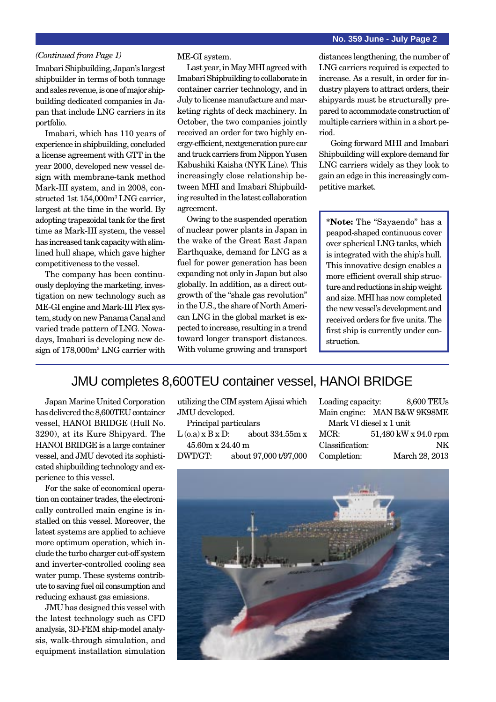Imabari Shipbuilding, Japan's largest shipbuilder in terms of both tonnage and sales revenue, is one of major shipbuilding dedicated companies in Japan that include LNG carriers in its portfolio.

Imabari, which has 110 years of experience in shipbuilding, concluded a license agreement with GTT in the year 2000, developed new vessel design with membrane-tank method Mark-III system, and in 2008, constructed 1st 154,000m3 LNG carrier, largest at the time in the world. By adopting trapezoidal tank for the first time as Mark-III system, the vessel has increased tank capacity with slimlined hull shape, which gave higher competitiveness to the vessel.

The company has been continuously deploying the marketing, investigation on new technology such as ME-GI engine and Mark-III Flex system, study on new Panama Canal and varied trade pattern of LNG. Nowadays, Imabari is developing new design of 178,000m3 LNG carrier with ME-GI system.

Last year, in May MHI agreed with Imabari Shipbuilding to collaborate in container carrier technology, and in July to license manufacture and marketing rights of deck machinery. In October, the two companies jointly received an order for two highly energy-efficient, nextgeneration pure car and truck carriers from Nippon Yusen Kabushiki Kaisha (NYK Line). This increasingly close relationship between MHI and Imabari Shipbuilding resulted in the latest collaboration agreement.

Owing to the suspended operation of nuclear power plants in Japan in the wake of the Great East Japan Earthquake, demand for LNG as a fuel for power generation has been expanding not only in Japan but also globally. In addition, as a direct outgrowth of the "shale gas revolution" in the U.S., the share of North American LNG in the global market is expected to increase, resulting in a trend toward longer transport distances. With volume growing and transport

*(Continued from Page 1)* ME-GI system. distances lengthening, the number of LNG carriers required is expected to increase. As a result, in order for industry players to attract orders, their shipyards must be structurally prepared to accommodate construction of multiple carriers within in a short period.

> Going forward MHI and Imabari Shipbuilding will explore demand for LNG carriers widely as they look to gain an edge in this increasingly competitive market.

**\*Note:** The "Sayaendo" has a peapod-shaped continuous cover over spherical LNG tanks, which is integrated with the ship's hull. This innovative design enables a more efficient overall ship structure and reductions in ship weight and size. MHI has now completed the new vessel's development and received orders for five units. The first ship is currently under construction.

### JMU completes 8,600TEU container vessel, HANOI BRIDGE

Japan Marine United Corporation has delivered the 8,600TEU container vessel, HANOI BRIDGE (Hull No. 3290), at its Kure Shipyard. The HANOI BRIDGE is a large container vessel, and JMU devoted its sophisticated shipbuilding technology and experience to this vessel.

For the sake of economical operation on container trades, the electronically controlled main engine is installed on this vessel. Moreover, the latest systems are applied to achieve more optimum operation, which include the turbo charger cut-off system and inverter-controlled cooling sea water pump. These systems contribute to saving fuel oil consumption and reducing exhaust gas emissions.

JMU has designed this vessel with the latest technology such as CFD analysis, 3D-FEM ship-model analysis, walk-through simulation, and equipment installation simulation utilizing the CIM system Ajisai which JMU developed.

Principal particulars  $L (o.a) x B x D:$  about 334.55m x 45.60m x 24.40 m

DWT/GT: about 97,000 t/97,000

Loading capacity: 8,600 TEUs Main engine: MAN B&W 9K98ME Mark VI diesel x 1 unit MCR: 51,480 kW x 94.0 rpm Classification: NK Completion: March 28, 2013

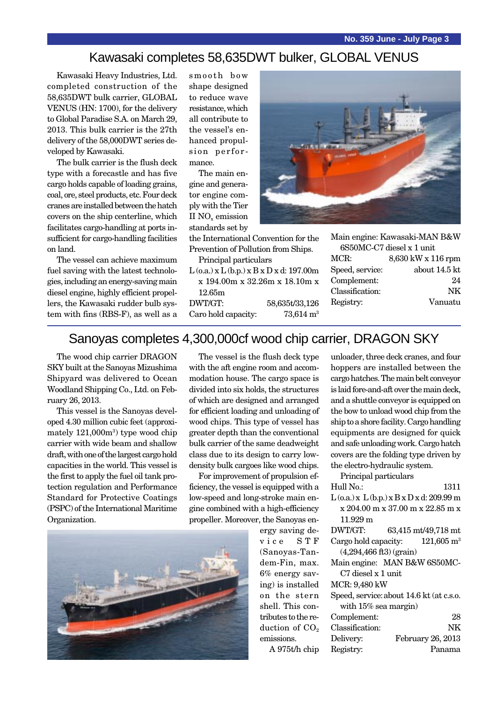### Kawasaki completes 58,635DWT bulker, GLOBAL VENUS

Kawasaki Heavy Industries, Ltd. completed construction of the 58,635DWT bulk carrier, GLOBAL VENUS (HN: 1700), for the delivery to Global Paradise S.A. on March 29, 2013. This bulk carrier is the 27th delivery of the 58,000DWT series developed by Kawasaki.

The bulk carrier is the flush deck type with a forecastle and has five cargo holds capable of loading grains, coal, ore, steel products, etc. Four deck cranes are installed between the hatch covers on the ship centerline, which facilitates cargo-handling at ports insufficient for cargo-handling facilities on land.

The vessel can achieve maximum fuel saving with the latest technologies, including an energy-saving main diesel engine, highly efficient propellers, the Kawasaki rudder bulb system with fins (RBS-F), as well as a

smooth bow shape designed to reduce wave resistance, which all contribute to the vessel's enhanced propulsion performance.

The main engine and generator engine comply with the Tier II NO<sub>v</sub> emission standards set by

the International Convention for the Prevention of Pollution from Ships.

Principal particulars

 $L$  (o.a.) x  $L$  (b.p.) x  $B$  x  $D$  x d: 197.00m x 194.00m x 32.26m x 18.10m x 12.65m DWT/GT: 58,635t/33,126

Caro hold capacity:  $73,614 \text{ m}^3$ 



Main engine: Kawasaki-MAN B&W

| 6S50MC-C7 diesel x 1 unit |                    |  |
|---------------------------|--------------------|--|
| MCR:                      | 8,630 kW x 116 rpm |  |
| Speed, service:           | about 14.5 kt      |  |
| Complement:               | 24                 |  |
| Classification:           | ΝK                 |  |
| Registry:                 | Vanuatu            |  |
|                           |                    |  |

### Sanoyas completes 4,300,000cf wood chip carrier, DRAGON SKY

The wood chip carrier DRAGON SKY built at the Sanoyas Mizushima Shipyard was delivered to Ocean Woodland Shipping Co., Ltd. on February 26, 2013.

This vessel is the Sanoyas developed 4.30 million cubic feet (approximately  $121,000$ m<sup>3</sup>) type wood chip carrier with wide beam and shallow draft, with one of the largest cargo hold capacities in the world. This vessel is the first to apply the fuel oil tank protection regulation and Performance Standard for Protective Coatings (PSPC) of the International Maritime Organization.

The vessel is the flush deck type with the aft engine room and accommodation house. The cargo space is divided into six holds, the structures of which are designed and arranged for efficient loading and unloading of wood chips. This type of vessel has greater depth than the conventional bulk carrier of the same deadweight class due to its design to carry lowdensity bulk cargoes like wood chips.

For improvement of propulsion efficiency, the vessel is equipped with a low-speed and long-stroke main engine combined with a high-efficiency propeller. Moreover, the Sanoyas en-



ergy saving device STF (Sanoyas-Tandem-Fin, max. 6% energy saving) is installed on the stern shell. This contributes to the reduction of  $CO<sub>2</sub>$ emissions.

A 975t/h chip

unloader, three deck cranes, and four hoppers are installed between the cargo hatches. The main belt conveyor is laid fore-and-aft over the main deck, and a shuttle conveyor is equipped on the bow to unload wood chip from the ship to a shore facility. Cargo handling equipments are designed for quick and safe unloading work. Cargo hatch covers are the folding type driven by the electro-hydraulic system.

Principal particulars

| Hull No.:                                         | 1311                                       |  |  |  |
|---------------------------------------------------|--------------------------------------------|--|--|--|
| $L$ (o.a.) x $L$ (b.p.) x $B$ x $D$ x d: 209.99 m |                                            |  |  |  |
| $x 204.00$ m $x 37.00$ m $x 22.85$ m $x$          |                                            |  |  |  |
| 11.929 m                                          |                                            |  |  |  |
| DWT/GT:                                           | 63,415 mt/49,718 mt                        |  |  |  |
|                                                   | Cargo hold capacity: $121,605 \text{ m}^3$ |  |  |  |
| $(4,294,466$ ft3) (grain)                         |                                            |  |  |  |
|                                                   | Main engine: MAN B&W 6S50MC-               |  |  |  |
| C7 diesel x 1 unit                                |                                            |  |  |  |
| MCR: 9,480 kW                                     |                                            |  |  |  |
| Speed, service: about 14.6 kt (at c.s.o.          |                                            |  |  |  |
| with $15\%$ sea margin)                           |                                            |  |  |  |
| Complement:                                       | 28                                         |  |  |  |
| Classification:                                   | NΚ                                         |  |  |  |
| Delivery:                                         | February 26, 2013                          |  |  |  |
| Registry:                                         | Panama                                     |  |  |  |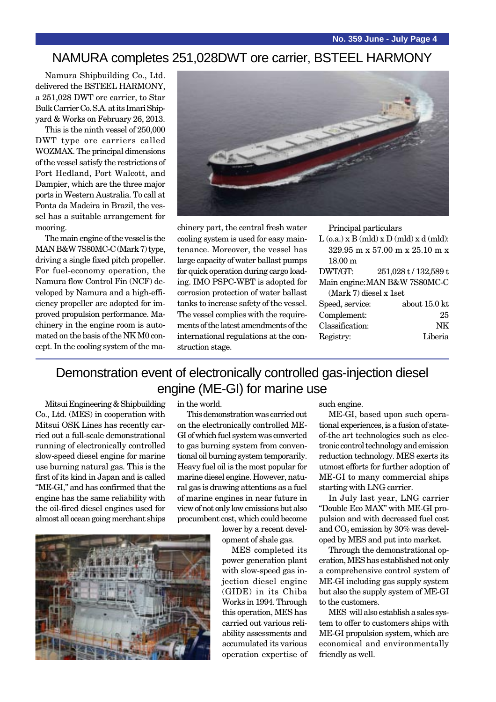### NAMURA completes 251,028DWT ore carrier, BSTEEL HARMONY

Namura Shipbuilding Co., Ltd. delivered the BSTEEL HARMONY, a 251,028 DWT ore carrier, to Star Bulk Carrier Co. S.A. at its Imari Shipyard & Works on February 26, 2013.

This is the ninth vessel of 250,000 DWT type ore carriers called WOZMAX. The principal dimensions of the vessel satisfy the restrictions of Port Hedland, Port Walcott, and Dampier, which are the three major ports in Western Australia. To call at Ponta da Madeira in Brazil, the vessel has a suitable arrangement for mooring.

The main engine of the vessel is the MAN B&W 7S80MC-C (Mark 7) type, driving a single fixed pitch propeller. For fuel-economy operation, the Namura flow Control Fin (NCF) developed by Namura and a high-efficiency propeller are adopted for improved propulsion performance. Machinery in the engine room is automated on the basis of the NK M0 concept. In the cooling system of the ma-



chinery part, the central fresh water cooling system is used for easy maintenance. Moreover, the vessel has large capacity of water ballast pumps for quick operation during cargo loading. IMO PSPC-WBT is adopted for corrosion protection of water ballast tanks to increase safety of the vessel. The vessel complies with the requirements of the latest amendments of the international regulations at the construction stage.

Principal particulars

| $L$ (o.a.) x B (mld) x D (mld) x d (mld): |                       |  |  |  |
|-------------------------------------------|-----------------------|--|--|--|
| $329.95$ m x $57.00$ m x $25.10$ m x      |                       |  |  |  |
| $18.00 \text{ m}$                         |                       |  |  |  |
| DWT/GT:                                   | 251,028 t / 132,589 t |  |  |  |
| Main engine: MAN B&W 7S80MC-C             |                       |  |  |  |
| $(Mark 7)$ diesel x 1set                  |                       |  |  |  |
| Speed, service:                           | about 15.0 kt         |  |  |  |
| Complement:                               | 25                    |  |  |  |
| Classification:                           | NK                    |  |  |  |
| Registry:                                 | Liberia               |  |  |  |
|                                           |                       |  |  |  |

### Demonstration event of electronically controlled gas-injection diesel engine (ME-GI) for marine use

Mitsui Engineering & Shipbuilding Co., Ltd. (MES) in cooperation with Mitsui OSK Lines has recently carried out a full-scale demonstrational running of electronically controlled slow-speed diesel engine for marine use burning natural gas. This is the first of its kind in Japan and is called "ME-GI," and has confirmed that the engine has the same reliability with the oil-fired diesel engines used for almost all ocean going merchant ships



in the world.

This demonstration was carried out on the electronically controlled ME-GI of which fuel system was converted to gas burning system from conventional oil burning system temporarily. Heavy fuel oil is the most popular for marine diesel engine. However, natural gas is drawing attentions as a fuel of marine engines in near future in view of not only low emissions but also procumbent cost, which could become

> lower by a recent development of shale gas.

MES completed its power generation plant with slow-speed gas injection diesel engine (GIDE) in its Chiba Works in 1994. Through this operation, MES has carried out various reliability assessments and accumulated its various operation expertise of

such engine.

ME-GI, based upon such operational experiences, is a fusion of stateof-the art technologies such as electronic control technology and emission reduction technology. MES exerts its utmost efforts for further adoption of ME-GI to many commercial ships starting with LNG carrier.

In July last year, LNG carrier "Double Eco MAX" with ME-GI propulsion and with decreased fuel cost and  $CO<sub>2</sub>$  emission by 30% was developed by MES and put into market.

Through the demonstrational operation, MES has established not only a comprehensive control system of ME-GI including gas supply system but also the supply system of ME-GI to the customers.

MES will also establish a sales system to offer to customers ships with ME-GI propulsion system, which are economical and environmentally friendly as well.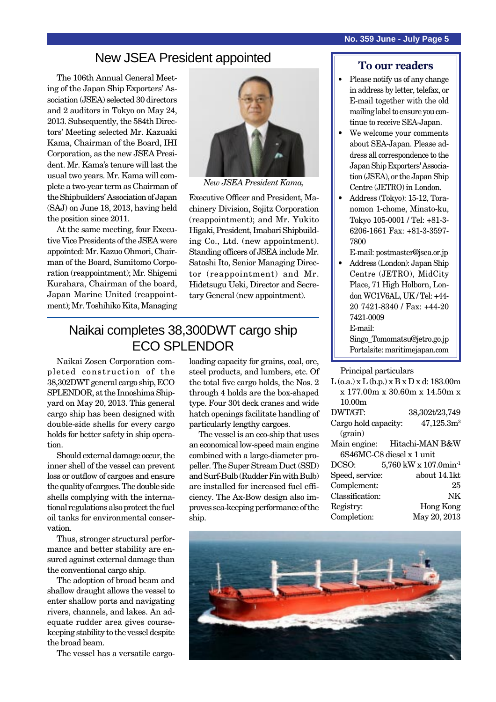The 106th Annual General Meeting of the Japan Ship Exporters' Association (JSEA) selected 30 directors and 2 auditors in Tokyo on May 24, 2013. Subsequently, the 584th Directors' Meeting selected Mr. Kazuaki Kama, Chairman of the Board, IHI Corporation, as the new JSEA President. Mr. Kama's tenure will last the usual two years. Mr. Kama will complete a two-year term as Chairman of the Shipbuilders' Association of Japan (SAJ) on June 18, 2013, having held the position since 2011.

At the same meeting, four Executive Vice Presidents of the JSEA were appointed: Mr. Kazuo Ohmori, Chairman of the Board, Sumitomo Corporation (reappointment); Mr. Shigemi Kurahara, Chairman of the board, Japan Marine United (reappointment); Mr. Toshihiko Kita, Managing



*New JSEA President Kama,*

Executive Officer and President, Machinery Division, Sojitz Corporation (reappointment); and Mr. Yukito Higaki, President, Imabari Shipbuilding Co., Ltd. (new appointment). Standing officers of JSEA include Mr. Satoshi Ito, Senior Managing Director (reappointment) and Mr. Hidetsugu Ueki, Director and Secretary General (new appointment).

### Naikai completes 38,300DWT cargo ship ECO SPLENDOR

Naikai Zosen Corporation completed construction of the 38,302DWT general cargo ship, ECO SPLENDOR, at the Innoshima Shipyard on May 20, 2013. This general cargo ship has been designed with double-side shells for every cargo holds for better safety in ship operation.

Should external damage occur, the inner shell of the vessel can prevent loss or outflow of cargoes and ensure the quality of cargoes. The double side shells complying with the international regulations also protect the fuel oil tanks for environmental conservation.

Thus, stronger structural performance and better stability are ensured against external damage than the conventional cargo ship.

The adoption of broad beam and shallow draught allows the vessel to enter shallow ports and navigating rivers, channels, and lakes. An adequate rudder area gives coursekeeping stability to the vessel despite the broad beam.

The vessel has a versatile cargo-

loading capacity for grains, coal, ore, steel products, and lumbers, etc. Of the total five cargo holds, the Nos. 2 through 4 holds are the box-shaped type. Four 30t deck cranes and wide hatch openings facilitate handling of particularly lengthy cargoes.

The vessel is an eco-ship that uses an economical low-speed main engine combined with a large-diameter propeller. The Super Stream Duct (SSD) and Surf-Bulb (Rudder Fin with Bulb) are installed for increased fuel efficiency. The Ax-Bow design also improves sea-keeping performance of the ship.

### **To our readers**

- Please notify us of any change in address by letter, telefax, or E-mail together with the old mailing label to ensure you continue to receive SEA-Japan.
- We welcome your comments about SEA-Japan. Please address all correspondence to the Japan Ship Exporters' Association (JSEA), or the Japan Ship Centre (JETRO) in London.
- Address (Tokyo): 15-12, Toranomon 1-chome, Minato-ku, Tokyo 105-0001 / Tel: +81-3- 6206-1661 Fax: +81-3-3597- 7800
- E-mail: postmaster@jsea.or.jp
- Address (London): Japan Ship Centre (JETRO), MidCity Place, 71 High Holborn, London WC1V6AL, UK / Tel: +44- 20 7421-8340 / Fax: +44-20 7421-0009 E-mail: Singo\_Tomomatsu@jetro.go.jp Portalsite: maritimejapan.com

#### Principal particulars

|                           | $L$ (o.a.) x $L$ (b.p.) x $B$ x $D$ x d: 183.00m |
|---------------------------|--------------------------------------------------|
|                           | x 177.00m x 30.60m x 14.50m x                    |
| 10.00 <sub>m</sub>        |                                                  |
| DWT/GT:                   | 38,302t/23,749                                   |
| Cargo hold capacity:      | 47,125.3m <sup>3</sup>                           |
| (grain)                   |                                                  |
|                           | Main engine: Hitachi-MAN B&W                     |
| 6S46MC-C8 diesel x 1 unit |                                                  |
| DCSO:                     | 5,760 kW x 107.0min <sup>-1</sup>                |
| Speed, service:           | about 14.1kt                                     |
| Complement:               | 25                                               |
| Classification:           | NK                                               |
| Registry:                 | <b>Hong Kong</b>                                 |
| Completion:               | May 20, 2013                                     |